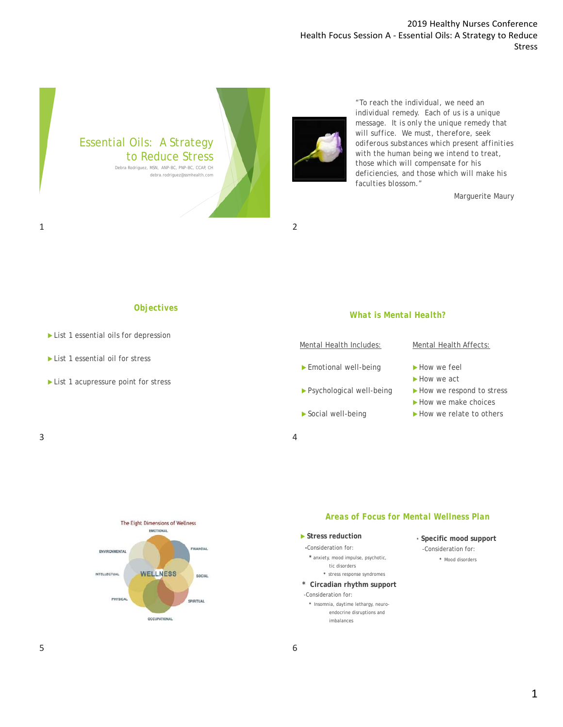## 2019 Healthy Nurses Conference Health Focus Session A ‐ Essential Oils: A Strategy to Reduce Stress



 $1$  2



*"To reach the individual, we need an individual remedy. Each of us is a unique message. It is only the unique remedy that will suffice. We must, therefore, seek odiferous substances which present affinities with the human being we intend to treat, those which will compensate for his deficiencies, and those which will make his faculties blossom."*

Marguerite Maury

### *Objectives*

- List 1 essential oils for depression
- List 1 essential oil for stress
- List 1 acupressure point for stress

*What is Mental Health?*

#### Mental Health Includes:

- Emotional well-being
- Psychological well-being
- Social well-being

## Mental Health Affects:

- How we feel
- How we act
- How we respond to stress
- How we make choices
- How we relate to others

 $3 \overline{4}$ 



The Eight Dimensions of Wellness

## *Areas of Focus for Mental Wellness Plan*

 **Stress reduction -**Consideration for:

**\*** anxiety, mood impulse, psychotic, tic disorders

- **\*** stress response syndromes
- **\* Circadian rhythm support** -Consideration for:
	- **\*** Insomnia, daytime lethargy, neuroendocrine disruptions and imbalances
- **\* Specific mood support** -Consideration for: **\*** Mood disorders

## 6

**OCCUPATIONAL**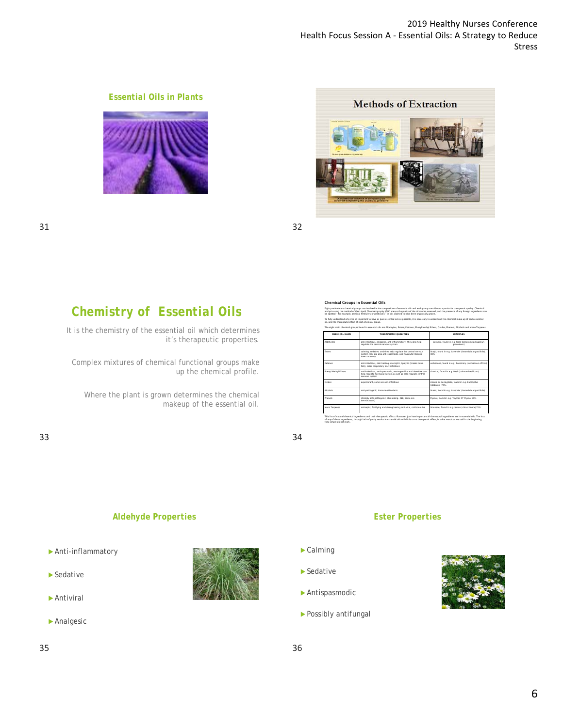

## *Essential Oils in Plants*



# *Chemistry of Essential Oils*

It is the chemistry of the essential oil which determines it's therapeutic properties.

Complex mixtures of chemical functional groups make up the chemical profile.

Where the plant is grown determines the chemical makeup of the essential oil.

33 34

#### Chemical Groups in Essential Oils Eight predominant chemical groups are involved in the composition of essential oils and each group contributes a particular therapeutic quality. Chemical analysis using the method of Gas Liquid Chromatography (GLC) means the purity of the oil can be assessed, and the presence of any foreign ingredients can

be spotted – for example, artificial fertilizers or pesticides – in oils claimed to have been organically grown. To fully understand why it is so important to have as pure essential oils as possible, it is necessary to understand the chemical make-up of each essential oil, and the therapeutic effect of each chemical group.

| The eight main chemical groups found in essential oils are Aldehydes. Esters. Ketones. Phenyl Methyl Ethers. Oxides. Phenols. Alcohols and Mono Terpenes. |                                                                                                                                                       |                                                                   |  |
|-----------------------------------------------------------------------------------------------------------------------------------------------------------|-------------------------------------------------------------------------------------------------------------------------------------------------------|-------------------------------------------------------------------|--|
| CHEMICAL NAME                                                                                                                                             | THERAPELITIC CITALITIES                                                                                                                               | <b>FXAMPLES</b>                                                   |  |
| Aldehydes                                                                                                                                                 | anti-infectious, analoesic, anti-inflammatory; they also help<br>requiate the central nervous system                                                  | geraniol, found in e.g. Rose Geranium (pelagonium<br>graveplers)  |  |
| <b>Fisters</b>                                                                                                                                            | calming, sedative, and they help regulate the central nervous<br>system they are also anti-spasmodic, and mucolytic (breaks)<br>down mucous)          | linaly), found in e.g. Lavender (lavandula angustifolia).<br>40%  |  |
| Ketnees                                                                                                                                                   | anti-infectious, skin healing, mucolytic, lipolytic (breaks down<br>fats), aides respiratory tract infections.                                        | verbenone, found in e.g. Rosemary (rosmarinus official)           |  |
| Pherryl Methyl Ethers                                                                                                                                     | anti-infectious, anti-spasmodic, oestrogen-like and therefore can<br>help regulate hormonal system as well as help regulate central<br>nervous system | chavicol. found in e.g. Basil (ocimum basilicum)                  |  |
| Oxides                                                                                                                                                    | expectorant, some are anti-infectious                                                                                                                 | cineole or eucalvotele, found in e.g. Eucalvotus<br>(abbulus) 70% |  |
| Alcohody                                                                                                                                                  | anti-pathopenic, immune-stimulants                                                                                                                    | linalol. found in e.g. Lavender (lavendule anoustifolia).         |  |
| Disponendo                                                                                                                                                | strongly anti-pathopenic, stimulating, (NB, some are<br>dermocaustic)                                                                                 | thymol. found in e.g. Thymes CT thymol 30%                        |  |
| Mono Terpenes                                                                                                                                             | antiseptic, fortifying and strengthening anti-viral, cortisone-like                                                                                   | limonene, found in e.g. lemon (citrus limone)70%                  |  |

This list of natural chemical ingredients and their therapeutic effects illustrates just how important all the natural ingredients are in essential oils. The loss<br>of any of these ingredients, through lack of purity results This list of natural chemical ingredients and their<br>of any of these ingredients, through lack of purity<br>they simply do not work

## *Aldehyde Properties*

- Anti-inflammatory
- $\blacktriangleright$  Sedative
- Antiviral
- Analgesic

 $35$  35



## *Ester Properties*

- Calming
- ▶ Sedative
- Antispasmodic
- Possibly antifungal

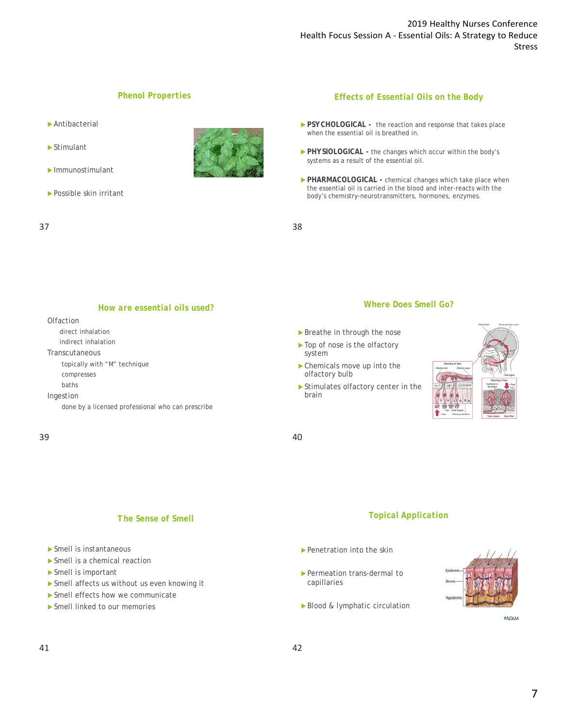## *Phenol Properties*

- Antibacterial
- Stimulant
- Immunostimulant
- ▶ Possible skin irritant



### *Effects of Essential Oils on the Body*

- PSYCHOLOGICAL the reaction and response that takes place when the essential oil is breathed in.
- PHYSIOLOGICAL the changes which occur within the body's systems as a result of the essential oil.
- **PHARMACOLOGICAL** chemical changes which take place when the essential oil is carried in the blood and inter-reacts with the body's chemistry-neurotransmitters, hormones, enzymes.

 $37$ 

#### *How are essential oils used?*

#### **Olfaction**

- direct inhalation
- indirect inhalation

Transcutaneous

topically with "M" technique compresses

baths

Ingestion

done by a licensed professional who can prescribe

#### $39$  40

## *Where Does Smell Go?*

- Breathe in through the nose
- ▶ Top of nose is the olfactory system
- Chemicals move up into the olfactory bulb
- Stimulates olfactory center in the brain



### *The Sense of Smell*

- Smell is instantaneous
- Smell is a chemical reaction
- Smell is important
- ▶ Smell affects us without us even knowing it
- Smell effects how we communicate
- Smell linked to our memories

### *Topical Application*

- Penetration into the skin
- Permeation trans-dermal to capillaries
- Blood & lymphatic circulation



**#ADAM**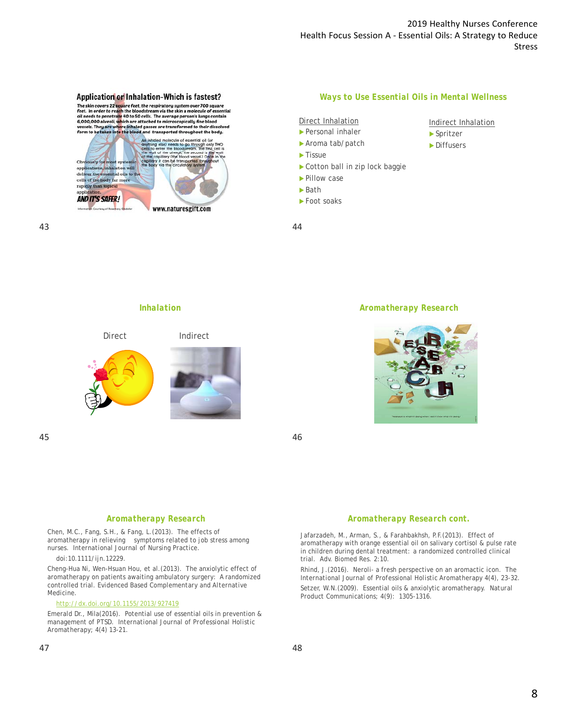### Application or Inhalation-Which is fastest?

The skin covers 22 square feet, the respiratory system over 700 square<br>feet. In order to reach the bloodstream via the skin a molecule of essential<br>oil needs to penetrate 40 to 50 cells. The average person's lungs contain<br> vessels. They are where inhaled gasses are transformed to their dissolved<br>form to be taken into the blood and transported throughout the body.



#### *Ways to Use Essential Oils in Mental Wellness*

Indirect Inhalation

 Spritzer **Diffusers** 

Direct Inhalation Personal inhaler

- ▶ Aroma tab/patch
	-
- $\blacktriangleright$  Tissue
- Cotton ball in zip lock baggie
- ▶ Pillow case
- Bath
- ▶ Foot soaks

43 44

### *Inhalation*



 $45$ 

#### *Aromatherapy Research*



#### *Aromatherapy Research*

Chen, M.C., Fang, S.H., & Fang, L.(2013). The effects of aromatherapy in relieving symptoms related to job stress among nurses. *International Journal of Nursing Practice.* 

doi:10.1111/ijn.12229.

Cheng-Hua Ni, Wen-Hsuan Hou, et al.(2013). The anxiolytic effect of aromatherapy on patients awaiting ambulatory surgery: A randomized controlled trial. *Evidenced Based Complementary and Alternative Medicine.*

#### http://dx.doi.org/10.1155/2013/927419

Emerald Dr., Mila(2016). Potential use of essential oils in prevention & management of PTSD. *International Journal of Professional Holistic Aromatherapy;* 4(4) 13-21.

#### *Aromatherapy Research cont.*

Jafarzadeh, M., Arman, S., & Farahbakhsh, P.F.(2013). Effect of aromatherapy with orange essential oil on salivary cortisol & pulse rate in children during dental treatment: a randomized controlled clinical trial. *Adv. Biomed Res.* 2:10.

Rhind, J.(2016). Neroli- a fresh perspective on an aromactic icon. *The International Journal of Professional Holistic Aromatherapy 4(4), 23-32.* Setzer, W.N.(2009). Essential oils & anxiolytic aromatherapy. *Natural Product Communications;* 4(9): 1305-1316.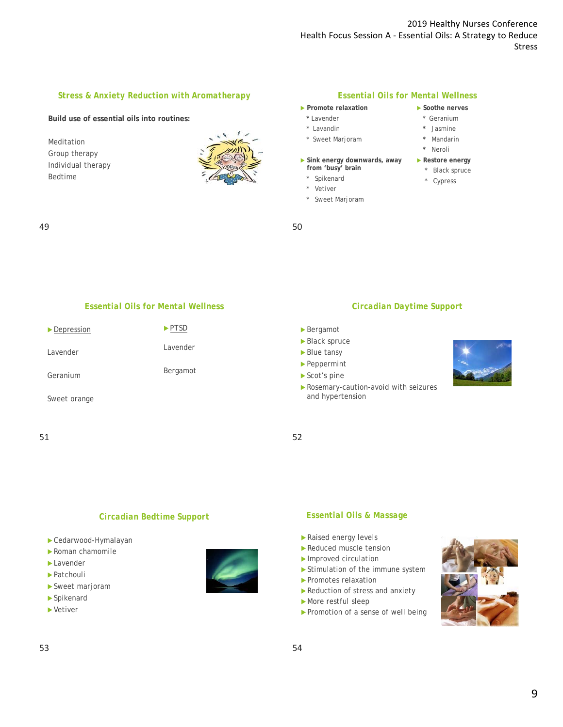### *Stress & Anxiety Reduction with Aromatherapy*

#### **Build use of essential oils into routines:**

Meditation Group therapy Individual therapy Bedtime



#### *Essential Oils for Mental Wellness*

- **Promote relaxation**
- **\*** Lavender
- \* Lavandin
- \* Sweet Marjoram
- **Sink energy downwards, away from 'busy' brain**
	- \* Spikenard
	- \* Vetiver
	- Sweet Marjoram
- **Soothe nerves** \* Geranium
- **\*** Jasmine
- **\*** Mandarin
- **\*** Neroli
- **Restore energy**
	- \* Black spruce
	- \* Cypress

### $49$  50

## *Essential Oils for Mental Wellness*

| $\blacktriangleright$ Depression | $\blacktriangleright$ PTSD |
|----------------------------------|----------------------------|
| Lavender                         | Lavender                   |
| Geranium                         | Bergamot                   |
| Sweet orange                     |                            |

#### 51 52

#### *Circadian Daytime Support*

- Bergamot
- Black spruce
- Blue tansy
- Peppermint
- Scot's pine
- Rosemary-caution-avoid with seizures and hypertension



## *Circadian Bedtime Support*

- Cedarwood-Hymalayan
- Roman chamomile
- Lavender
- ▶ Patchouli
- Sweet marjoram
- Spikenard
- Vetiver



## *Essential Oils & Massage*

- Raised energy levels
- Reduced muscle tension
- Improved circulation
- Stimulation of the immune system
- Promotes relaxation
- Reduction of stress and anxiety
- More restful sleep
- Promotion of a sense of well being

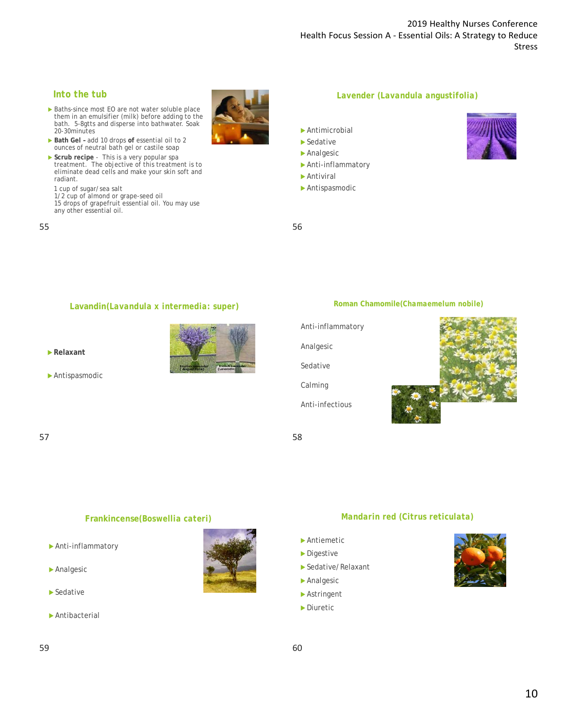## *Into the tub*

- Baths-since most EO are not water soluble place them in an emulsifier (milk) before adding to the bath. 5-8gtts and disperse into bathwater. Soak 20-30minutes
- ▶ Bath Gel add 10 drops of essential oil to 2 ounces of neutral bath gel or castile soap
- **Scrub recipe** This is a very popular spa<br>treatment. The objective of this treatment is to<br>eliminate dead cells and make your skin soft and radiant.
- 1 cup of sugar/sea salt

1/2 cup of almond or grape-seed oil 15 drops of grapefruit essential oil. You may use any other essential oil.

 $55$ 



- Antimicrobial
- ▶ Sedative
- Analgesic
- Anti-inflammatory
- Antiviral

Analgesic

Sedative

Calming

Anti-infectious

Antispasmodic

## **Lavandin(***Lavandula x intermedia: super***)**

**Relaxant**







**Roman Chamomile(***Chamaemelum nobile***)**

 $57$ 

### **Frankincense***(Boswellia cateri)*

- Anti-inflammatory
- Analgesic
- ▶ Sedative
- Antibacterial

## *Mandarin red (Citrus reticulata)*

- Antiemetic
- **Digestive**
- Sedative/Relaxant
- Analgesic
- Astringent
- **Diuretic**

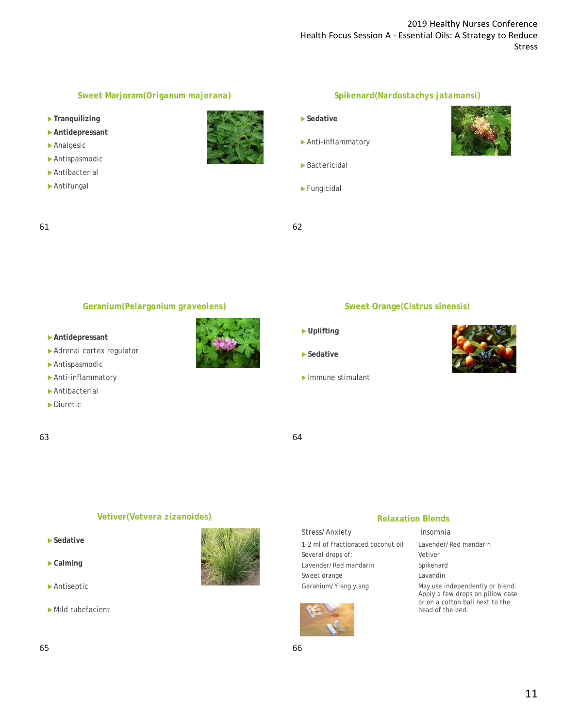## **Sweet Marjoram(***Origanum majorana***)**

- **Tranquilizing**
- **Antidepressant**
- Analgesic
- Antispasmodic
- Antibacterial
- Antifungal



## **Spikenard(***Nardostachys jatamansi***)**

- **Sedative**
- Anti-inflammatory
- Bactericidal
- Fungicidal
- 61 62



### **Geranium(***Pelargonium graveolens***)**

- **Antidepressant**
- Adrenal cortex regulator
- Antispasmodic
- Anti-inflammatory
- Antibacterial
- ▶ Diuretic
- 63 64



- **Sweet Orange(***Cistrus sinensis)*
- **Uplifting**
- **Sedative**
- Immune stimulant



#### **Vetiver(***Vetvera zizanoides***)**

- **Sedative**
- **Calming**
- Antiseptic
- Mild rubefacient



| Stress/Anxiety                     | Insomnia   |
|------------------------------------|------------|
| 1-2 ml of fractionated coconut oil | Lavender/F |

Several drops of: Lavender/Red mandarin Sweet orange Geranium/Ylang ylang



#### ender/Red mandarin Vetiver

**Relaxation Blends**

Spikenard

Lavandin

May use independently or blend. Apply a few drops on pillow case or on a cotton ball next to the head of the bed.